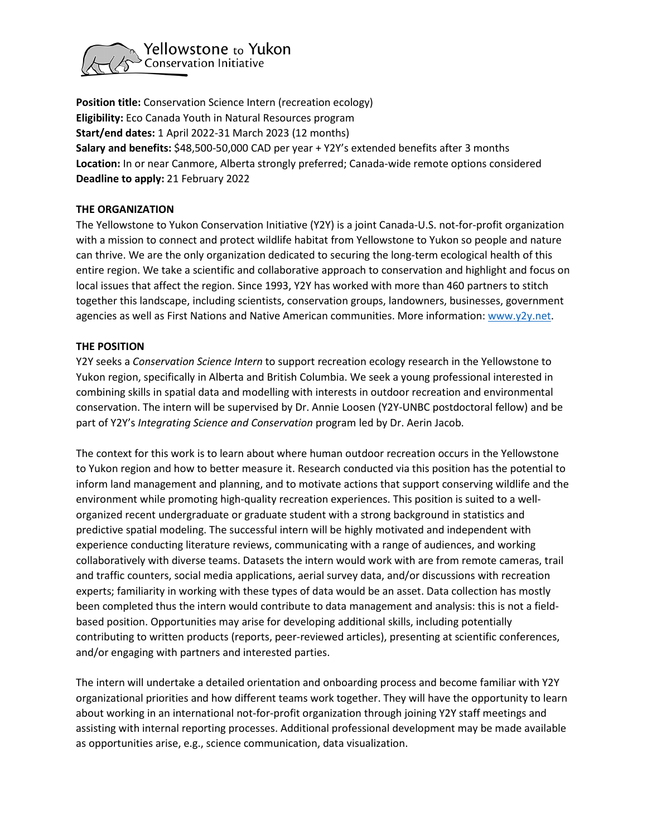

**Position title:** Conservation Science Intern (recreation ecology) **Eligibility:** Eco Canada Youth in Natural Resources program **Start/end dates:** 1 April 2022-31 March 2023 (12 months) **Salary and benefits:** \$48,500-50,000 CAD per year + Y2Y's extended benefits after 3 months **Location:** In or near Canmore, Alberta strongly preferred; Canada-wide remote options considered **Deadline to apply:** 21 February 2022

### **THE ORGANIZATION**

The Yellowstone to Yukon Conservation Initiative (Y2Y) is a joint Canada-U.S. not-for-profit organization with a mission to connect and protect wildlife habitat from Yellowstone to Yukon so people and nature can thrive. We are the only organization dedicated to securing the long-term ecological health of this entire region. We take a scientific and collaborative approach to conservation and highlight and focus on local issues that affect the region. Since 1993, Y2Y has worked with more than 460 partners to stitch together this landscape, including scientists, conservation groups, landowners, businesses, government agencies as well as First Nations and Native American communities. More information: [www.y2y.net.](http://www.y2y.net/)

#### **THE POSITION**

Y2Y seeks a *Conservation Science Intern* to support recreation ecology research in the Yellowstone to Yukon region, specifically in Alberta and British Columbia. We seek a young professional interested in combining skills in spatial data and modelling with interests in outdoor recreation and environmental conservation. The intern will be supervised by Dr. Annie Loosen (Y2Y-UNBC postdoctoral fellow) and be part of Y2Y's *Integrating Science and Conservation* program led by Dr. Aerin Jacob.

The context for this work is to learn about where human outdoor recreation occurs in the Yellowstone to Yukon region and how to better measure it. Research conducted via this position has the potential to inform land management and planning, and to motivate actions that support conserving wildlife and the environment while promoting high-quality recreation experiences. This position is suited to a wellorganized recent undergraduate or graduate student with a strong background in statistics and predictive spatial modeling. The successful intern will be highly motivated and independent with experience conducting literature reviews, communicating with a range of audiences, and working collaboratively with diverse teams. Datasets the intern would work with are from remote cameras, trail and traffic counters, social media applications, aerial survey data, and/or discussions with recreation experts; familiarity in working with these types of data would be an asset. Data collection has mostly been completed thus the intern would contribute to data management and analysis: this is not a fieldbased position. Opportunities may arise for developing additional skills, including potentially contributing to written products (reports, peer-reviewed articles), presenting at scientific conferences, and/or engaging with partners and interested parties.

The intern will undertake a detailed orientation and onboarding process and become familiar with Y2Y organizational priorities and how different teams work together. They will have the opportunity to learn about working in an international not-for-profit organization through joining Y2Y staff meetings and assisting with internal reporting processes. Additional professional development may be made available as opportunities arise, e.g., science communication, data visualization.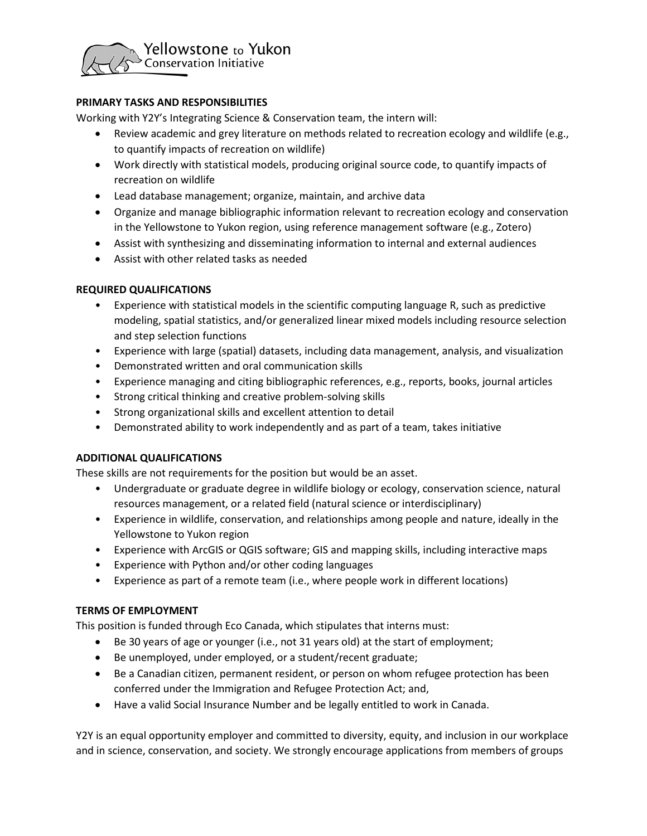

## **PRIMARY TASKS AND RESPONSIBILITIES**

Working with Y2Y's Integrating Science & Conservation team, the intern will:

- Review academic and grey literature on methods related to recreation ecology and wildlife (e.g., to quantify impacts of recreation on wildlife)
- Work directly with statistical models, producing original source code, to quantify impacts of recreation on wildlife
- Lead database management; organize, maintain, and archive data
- Organize and manage bibliographic information relevant to recreation ecology and conservation in the Yellowstone to Yukon region, using reference management software (e.g., Zotero)
- Assist with synthesizing and disseminating information to internal and external audiences
- Assist with other related tasks as needed

### **REQUIRED QUALIFICATIONS**

- Experience with statistical models in the scientific computing language R, such as predictive modeling, spatial statistics, and/or generalized linear mixed models including resource selection and step selection functions
- Experience with large (spatial) datasets, including data management, analysis, and visualization
- Demonstrated written and oral communication skills
- Experience managing and citing bibliographic references, e.g., reports, books, journal articles
- Strong critical thinking and creative problem-solving skills
- Strong organizational skills and excellent attention to detail
- Demonstrated ability to work independently and as part of a team, takes initiative

### **ADDITIONAL QUALIFICATIONS**

These skills are not requirements for the position but would be an asset.

- Undergraduate or graduate degree in wildlife biology or ecology, conservation science, natural resources management, or a related field (natural science or interdisciplinary)
- Experience in wildlife, conservation, and relationships among people and nature, ideally in the Yellowstone to Yukon region
- Experience with ArcGIS or QGIS software; GIS and mapping skills, including interactive maps
- Experience with Python and/or other coding languages
- Experience as part of a remote team (i.e., where people work in different locations)

### **TERMS OF EMPLOYMENT**

This position is funded through Eco Canada, which stipulates that interns must:

- Be 30 years of age or younger (i.e., not 31 years old) at the start of employment;
- Be unemployed, under employed, or a student/recent graduate;
- Be a Canadian citizen, permanent resident, or person on whom refugee protection has been conferred under the Immigration and Refugee Protection Act; and,
- Have a valid Social Insurance Number and be legally entitled to work in Canada.

Y2Y is an equal opportunity employer and committed to diversity, equity, and inclusion in our workplace and in science, conservation, and society. We strongly encourage applications from members of groups